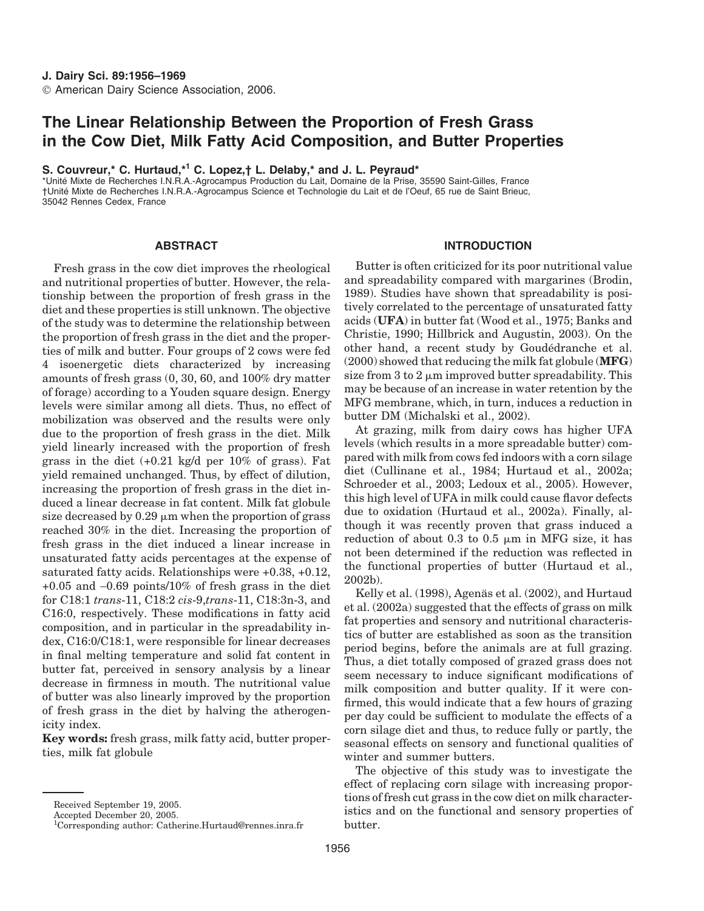# **The Linear Relationship Between the Proportion of Fresh Grass in the Cow Diet, Milk Fatty Acid Composition, and Butter Properties**

**S. Couvreur,\* C. Hurtaud,\*<sup>1</sup> C. Lopez,† L. Delaby,\* and J. L. Peyraud\***

\*Unite´ Mixte de Recherches I.N.R.A.-Agrocampus Production du Lait, Domaine de la Prise, 35590 Saint-Gilles, France †Unite´ Mixte de Recherches I.N.R.A.-Agrocampus Science et Technologie du Lait et de l'Oeuf, 65 rue de Saint Brieuc, 35042 Rennes Cedex, France

# **ABSTRACT**

Fresh grass in the cow diet improves the rheological and nutritional properties of butter. However, the relationship between the proportion of fresh grass in the diet and these properties is still unknown. The objective of the study was to determine the relationship between the proportion of fresh grass in the diet and the properties of milk and butter. Four groups of 2 cows were fed 4 isoenergetic diets characterized by increasing amounts of fresh grass (0, 30, 60, and 100% dry matter of forage) according to a Youden square design. Energy levels were similar among all diets. Thus, no effect of mobilization was observed and the results were only due to the proportion of fresh grass in the diet. Milk yield linearly increased with the proportion of fresh grass in the diet  $(+0.21 \text{ kg/d} \text{ per } 10\% \text{ of grass})$ . Fat yield remained unchanged. Thus, by effect of dilution, increasing the proportion of fresh grass in the diet induced a linear decrease in fat content. Milk fat globule size decreased by  $0.29 \mu m$  when the proportion of grass reached 30% in the diet. Increasing the proportion of fresh grass in the diet induced a linear increase in unsaturated fatty acids percentages at the expense of saturated fatty acids. Relationships were +0.38, +0.12, +0.05 and −0.69 points/10% of fresh grass in the diet for C18:1 *trans*-11, C18:2 *cis*-9,*trans*-11, C18:3n-3, and C16:0, respectively. These modifications in fatty acid composition, and in particular in the spreadability index, C16:0/C18:1, were responsible for linear decreases in final melting temperature and solid fat content in butter fat, perceived in sensory analysis by a linear decrease in firmness in mouth. The nutritional value of butter was also linearly improved by the proportion of fresh grass in the diet by halving the atherogenicity index.

**Key words:** fresh grass, milk fatty acid, butter properties, milk fat globule

# **INTRODUCTION**

Butter is often criticized for its poor nutritional value and spreadability compared with margarines (Brodin, 1989). Studies have shown that spreadability is positively correlated to the percentage of unsaturated fatty acids (**UFA**) in butter fat (Wood et al., 1975; Banks and Christie, 1990; Hillbrick and Augustin, 2003). On the other hand, a recent study by Goudédranche et al. (2000) showed that reducing the milk fat globule (**MFG**) size from  $3$  to  $2 \mu m$  improved butter spreadability. This may be because of an increase in water retention by the MFG membrane, which, in turn, induces a reduction in butter DM (Michalski et al., 2002).

At grazing, milk from dairy cows has higher UFA levels (which results in a more spreadable butter) compared with milk from cows fed indoors with a corn silage diet (Cullinane et al., 1984; Hurtaud et al., 2002a; Schroeder et al., 2003; Ledoux et al., 2005). However, this high level of UFA in milk could cause flavor defects due to oxidation (Hurtaud et al., 2002a). Finally, although it was recently proven that grass induced a reduction of about 0.3 to 0.5  $\mu$ m in MFG size, it has not been determined if the reduction was reflected in the functional properties of butter (Hurtaud et al., 2002b).

Kelly et al. (1998), Agenäs et al. (2002), and Hurtaud et al. (2002a) suggested that the effects of grass on milk fat properties and sensory and nutritional characteristics of butter are established as soon as the transition period begins, before the animals are at full grazing. Thus, a diet totally composed of grazed grass does not seem necessary to induce significant modifications of milk composition and butter quality. If it were confirmed, this would indicate that a few hours of grazing per day could be sufficient to modulate the effects of a corn silage diet and thus, to reduce fully or partly, the seasonal effects on sensory and functional qualities of winter and summer butters.

The objective of this study was to investigate the effect of replacing corn silage with increasing proportions of fresh cut grass in the cow diet on milk characteristics and on the functional and sensory properties of butter.

Received September 19, 2005.

Accepted December 20, 2005.

<sup>1</sup> Corresponding author: Catherine.Hurtaud@rennes.inra.fr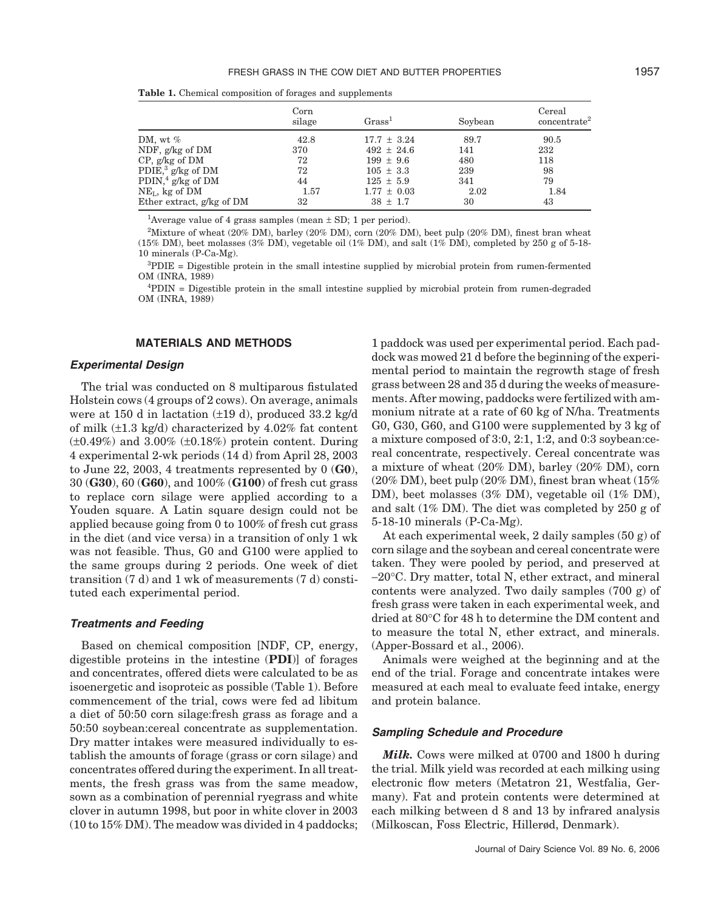|                               | Corn<br>silage | Grass <sup>1</sup> | Soybean | Cereal<br>concentrate <sup>2</sup> |
|-------------------------------|----------------|--------------------|---------|------------------------------------|
| DM, wt $\%$                   | 42.8           | $17.7 \pm 3.24$    | 89.7    | 90.5                               |
| NDF, g/kg of DM               | 370            | $492 \pm 24.6$     | 141     | 232                                |
| $CP$ , g/kg of DM             | 72             | $199 \pm 9.6$      | 480     | 118                                |
| PDIE, <sup>3</sup> g/kg of DM | 72             | $105 \pm 3.3$      | 239     | 98                                 |
| PDIN, <sup>4</sup> g/kg of DM | 44             | $125 \pm 5.9$      | 341     | 79                                 |
| $NEL$ , kg of DM              | 1.57           | $1.77 \pm 0.03$    | 2.02    | 1.84                               |
| Ether extract, g/kg of DM     | 32             | $38 \pm 1.7$       | 30      | 43                                 |
|                               |                |                    |         |                                    |

**Table 1.** Chemical composition of forages and supplements

<sup>1</sup>Average value of 4 grass samples (mean  $\pm$  SD; 1 per period).

2 Mixture of wheat (20% DM), barley (20% DM), corn (20% DM), beet pulp (20% DM), finest bran wheat (15% DM), beet molasses (3% DM), vegetable oil (1% DM), and salt (1% DM), completed by 250 g of 5-18-10 minerals (P-Ca-Mg).

3 PDIE = Digestible protein in the small intestine supplied by microbial protein from rumen-fermented OM (INRA, 1989)

4 PDIN = Digestible protein in the small intestine supplied by microbial protein from rumen-degraded OM (INRA, 1989)

# **MATERIALS AND METHODS**

## *Experimental Design*

The trial was conducted on 8 multiparous fistulated Holstein cows (4 groups of 2 cows). On average, animals were at 150 d in lactation (±19 d), produced 33.2 kg/d of milk  $(\pm 1.3 \text{ kg/d})$  characterized by 4.02% fat content (±0.49%) and 3.00% (±0.18%) protein content. During 4 experimental 2-wk periods (14 d) from April 28, 2003 to June 22, 2003, 4 treatments represented by 0 (**G0**), 30 (**G30**), 60 (**G60**), and 100% (**G100**) of fresh cut grass to replace corn silage were applied according to a Youden square. A Latin square design could not be applied because going from 0 to 100% of fresh cut grass in the diet (and vice versa) in a transition of only 1 wk was not feasible. Thus, G0 and G100 were applied to the same groups during 2 periods. One week of diet transition (7 d) and 1 wk of measurements (7 d) constituted each experimental period.

#### *Treatments and Feeding*

Based on chemical composition [NDF, CP, energy, digestible proteins in the intestine (**PDI**)] of forages and concentrates, offered diets were calculated to be as isoenergetic and isoproteic as possible (Table 1). Before commencement of the trial, cows were fed ad libitum a diet of 50:50 corn silage:fresh grass as forage and a 50:50 soybean:cereal concentrate as supplementation. Dry matter intakes were measured individually to establish the amounts of forage (grass or corn silage) and concentrates offered during the experiment. In all treatments, the fresh grass was from the same meadow, sown as a combination of perennial ryegrass and white clover in autumn 1998, but poor in white clover in 2003 (10 to 15% DM). The meadow was divided in 4 paddocks;

1 paddock was used per experimental period. Each paddock was mowed 21 d before the beginning of the experimental period to maintain the regrowth stage of fresh grass between 28 and 35 d during the weeks of measurements. After mowing, paddocks were fertilized with ammonium nitrate at a rate of 60 kg of N/ha. Treatments G0, G30, G60, and G100 were supplemented by 3 kg of a mixture composed of 3:0, 2:1, 1:2, and 0:3 soybean:cereal concentrate, respectively. Cereal concentrate was a mixture of wheat (20% DM), barley (20% DM), corn (20% DM), beet pulp (20% DM), finest bran wheat (15% DM), beet molasses (3% DM), vegetable oil (1% DM), and salt (1% DM). The diet was completed by 250 g of 5-18-10 minerals (P-Ca-Mg).

At each experimental week, 2 daily samples (50 g) of corn silage and the soybean and cereal concentrate were taken. They were pooled by period, and preserved at −20°C. Dry matter, total N, ether extract, and mineral contents were analyzed. Two daily samples (700 g) of fresh grass were taken in each experimental week, and dried at 80°C for 48 h to determine the DM content and to measure the total N, ether extract, and minerals. (Apper-Bossard et al., 2006).

Animals were weighed at the beginning and at the end of the trial. Forage and concentrate intakes were measured at each meal to evaluate feed intake, energy and protein balance.

# *Sampling Schedule and Procedure*

*Milk.* Cows were milked at 0700 and 1800 h during the trial. Milk yield was recorded at each milking using electronic flow meters (Metatron 21, Westfalia, Germany). Fat and protein contents were determined at each milking between d 8 and 13 by infrared analysis (Milkoscan, Foss Electric, Hillerød, Denmark).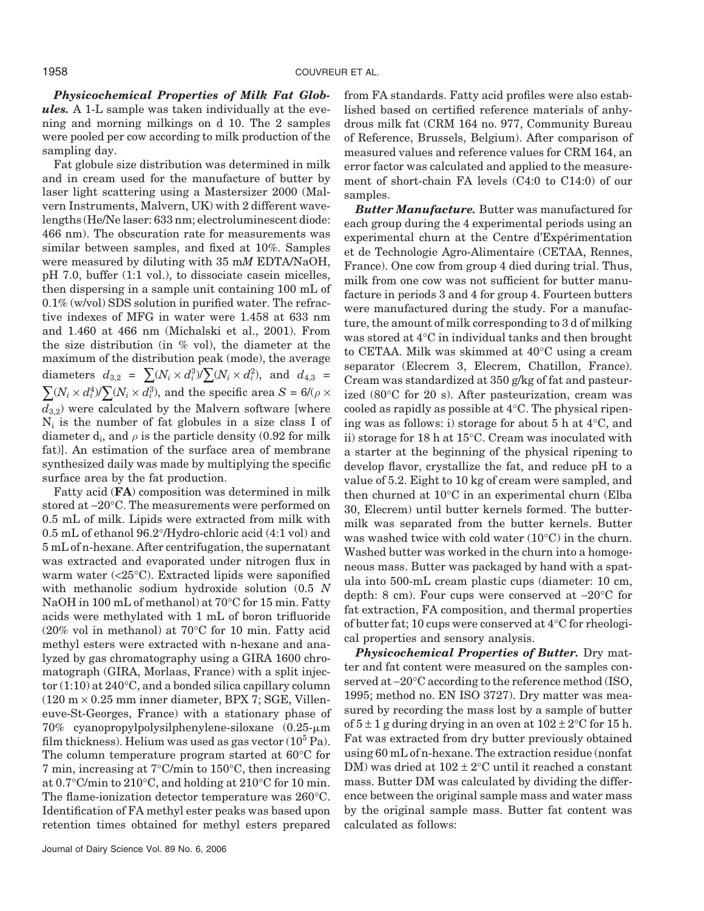*Physicochemical Properties of Milk Fat Globules.* A 1-L sample was taken individually at the evening and morning milkings on d 10. The 2 samples were pooled per cow according to milk production of the sampling day.

Fat globule size distribution was determined in milk and in cream used for the manufacture of butter by laser light scattering using a Mastersizer 2000 (Malvern Instruments, Malvern, UK) with 2 different wavelengths (He/Ne laser: 633 nm; electroluminescent diode: 466 nm). The obscuration rate for measurements was similar between samples, and fixed at 10%. Samples were measured by diluting with 35 m*M* EDTA/NaOH, pH 7.0, buffer (1:1 vol.), to dissociate casein micelles, then dispersing in a sample unit containing 100 mL of 0.1% (w/vol) SDS solution in purified water. The refractive indexes of MFG in water were 1.458 at 633 nm and 1.460 at 466 nm (Michalski et al., 2001). From the size distribution (in % vol), the diameter at the maximum of the distribution peak (mode), the average diameters  $d_{3,2} = \sum (N_i \times d_i^3) / \sum (N_i \times d_i^2)$ , and  $d_{4,3} =$  $\sum (N_i \times d_i^4)/\sum (N_i \times d_i^3)$ , and the specific area  $S = 6/(\rho \times d_i^3)$  $d_{3,2}$ ) were calculated by the Malvern software [where  $N_i$  is the number of fat globules in a size class I of diameter  $d_i$ , and  $\rho$  is the particle density (0.92 for milk fat)]. An estimation of the surface area of membrane synthesized daily was made by multiplying the specific surface area by the fat production.

Fatty acid (**FA**) composition was determined in milk stored at −20°C. The measurements were performed on 0.5 mL of milk. Lipids were extracted from milk with 0.5 mL of ethanol 96.2°/Hydro-chloric acid (4:1 vol) and 5 mL of n-hexane. After centrifugation, the supernatant was extracted and evaporated under nitrogen flux in warm water (<25°C). Extracted lipids were saponified with methanolic sodium hydroxide solution (0.5 *N* NaOH in 100 mL of methanol) at 70°C for 15 min. Fatty acids were methylated with 1 mL of boron trifluoride (20% vol in methanol) at 70°C for 10 min. Fatty acid methyl esters were extracted with n-hexane and analyzed by gas chromatography using a GIRA 1600 chromatograph (GIRA, Morlaas, France) with a split injector  $(1:10)$  at  $240^{\circ}$ C, and a bonded silica capillary column  $(120 \text{ m} \times 0.25 \text{ mm inner diameter}, BPX 7; SGE, Villen$ euve-St-Georges, France) with a stationary phase of 70% cyanopropylpolysilphenylene-siloxane (0.25-m film thickness). Helium was used as gas vector  $(10^5 \text{ Pa})$ . The column temperature program started at 60°C for 7 min, increasing at 7°C/min to 150°C, then increasing at 0.7°C/min to 210°C, and holding at 210°C for 10 min. The flame-ionization detector temperature was 260°C. Identification of FA methyl ester peaks was based upon retention times obtained for methyl esters prepared from FA standards. Fatty acid profiles were also established based on certified reference materials of anhydrous milk fat (CRM 164 no. 977, Community Bureau of Reference, Brussels, Belgium). After comparison of measured values and reference values for CRM 164, an error factor was calculated and applied to the measurement of short-chain FA levels (C4:0 to C14:0) of our samples.

*Butter Manufacture.* Butter was manufactured for each group during the 4 experimental periods using an experimental churn at the Centre d'Expérimentation et de Technologie Agro-Alimentaire (CETAA, Rennes, France). One cow from group 4 died during trial. Thus, milk from one cow was not sufficient for butter manufacture in periods 3 and 4 for group 4. Fourteen butters were manufactured during the study. For a manufacture, the amount of milk corresponding to 3 d of milking was stored at 4°C in individual tanks and then brought to CETAA. Milk was skimmed at 40°C using a cream separator (Elecrem 3, Elecrem, Chatillon, France). Cream was standardized at 350 g/kg of fat and pasteurized (80°C for 20 s). After pasteurization, cream was cooled as rapidly as possible at 4°C. The physical ripening was as follows: i) storage for about 5 h at 4°C, and ii) storage for 18 h at 15°C. Cream was inoculated with a starter at the beginning of the physical ripening to develop flavor, crystallize the fat, and reduce pH to a value of 5.2. Eight to 10 kg of cream were sampled, and then churned at 10°C in an experimental churn (Elba 30, Elecrem) until butter kernels formed. The buttermilk was separated from the butter kernels. Butter was washed twice with cold water (10°C) in the churn. Washed butter was worked in the churn into a homogeneous mass. Butter was packaged by hand with a spatula into 500-mL cream plastic cups (diameter: 10 cm, depth: 8 cm). Four cups were conserved at −20°C for fat extraction, FA composition, and thermal properties of butter fat; 10 cups were conserved at 4°C for rheological properties and sensory analysis.

*Physicochemical Properties of Butter.* Dry matter and fat content were measured on the samples conserved at −20°C according to the reference method (ISO, 1995; method no. EN ISO 3727). Dry matter was measured by recording the mass lost by a sample of butter of  $5 \pm 1$  g during drying in an oven at  $102 \pm 2^{\circ}$ C for 15 h. Fat was extracted from dry butter previously obtained using 60 mL of n-hexane. The extraction residue (nonfat DM) was dried at  $102 \pm 2$ °C until it reached a constant mass. Butter DM was calculated by dividing the difference between the original sample mass and water mass by the original sample mass. Butter fat content was calculated as follows: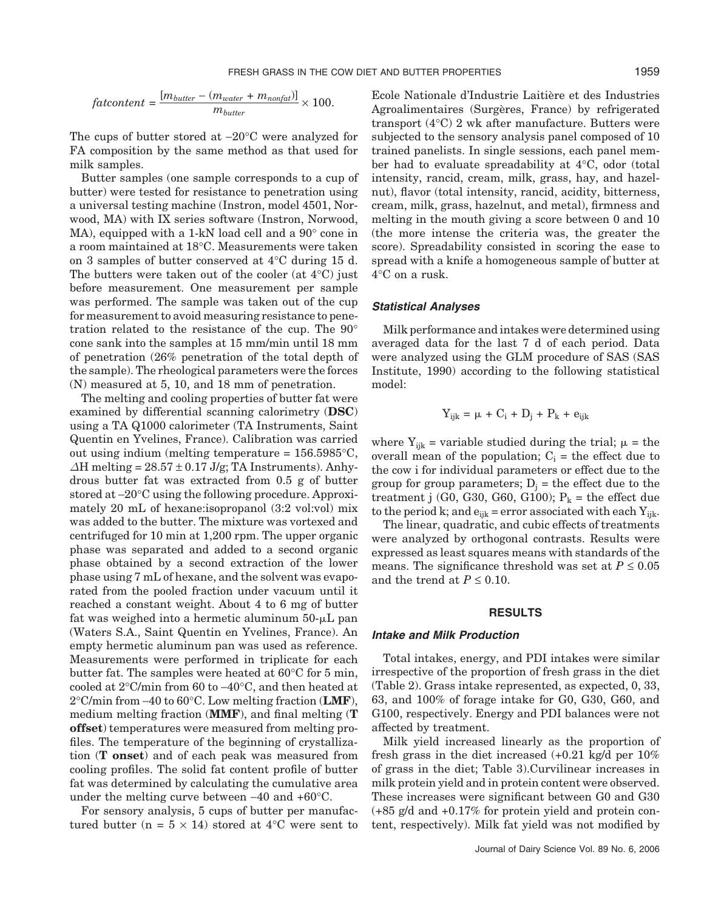$$
factortent = \frac{[m_{butter} - (m_{water} + m_{nonfat})]}{m_{butter}} \times 100.
$$

The cups of butter stored at −20°C were analyzed for FA composition by the same method as that used for milk samples.

Butter samples (one sample corresponds to a cup of butter) were tested for resistance to penetration using a universal testing machine (Instron, model 4501, Norwood, MA) with IX series software (Instron, Norwood, MA), equipped with a 1-kN load cell and a 90° cone in a room maintained at 18°C. Measurements were taken on 3 samples of butter conserved at 4°C during 15 d. The butters were taken out of the cooler (at 4°C) just before measurement. One measurement per sample was performed. The sample was taken out of the cup for measurement to avoid measuring resistance to penetration related to the resistance of the cup. The 90° cone sank into the samples at 15 mm/min until 18 mm of penetration (26% penetration of the total depth of the sample). The rheological parameters were the forces (N) measured at 5, 10, and 18 mm of penetration.

The melting and cooling properties of butter fat were examined by differential scanning calorimetry (**DSC**) using a TA Q1000 calorimeter (TA Instruments, Saint Quentin en Yvelines, France). Calibration was carried out using indium (melting temperature = 156.5985°C,  $\Delta H$  melting = 28.57 ± 0.17 J/g; TA Instruments). Anhydrous butter fat was extracted from 0.5 g of butter stored at −20°C using the following procedure. Approximately 20 mL of hexane:isopropanol (3:2 vol:vol) mix was added to the butter. The mixture was vortexed and centrifuged for 10 min at 1,200 rpm. The upper organic phase was separated and added to a second organic phase obtained by a second extraction of the lower phase using 7 mL of hexane, and the solvent was evaporated from the pooled fraction under vacuum until it reached a constant weight. About 4 to 6 mg of butter fat was weighed into a hermetic aluminum  $50 - \mu L$  pan (Waters S.A., Saint Quentin en Yvelines, France). An empty hermetic aluminum pan was used as reference. Measurements were performed in triplicate for each butter fat. The samples were heated at 60°C for 5 min, cooled at 2°C/min from 60 to −40°C, and then heated at 2°C/min from −40 to 60°C. Low melting fraction (**LMF**), medium melting fraction (**MMF**), and final melting (**T offset**) temperatures were measured from melting profiles. The temperature of the beginning of crystallization (**T onset**) and of each peak was measured from cooling profiles. The solid fat content profile of butter fat was determined by calculating the cumulative area under the melting curve between −40 and +60°C.

For sensory analysis, 5 cups of butter per manufactured butter (n =  $5 \times 14$ ) stored at 4<sup>o</sup>C were sent to Ecole Nationale d'Industrie Laitière et des Industries Agroalimentaires (Surgères, France) by refrigerated transport (4°C) 2 wk after manufacture. Butters were subjected to the sensory analysis panel composed of 10 trained panelists. In single sessions, each panel member had to evaluate spreadability at 4°C, odor (total intensity, rancid, cream, milk, grass, hay, and hazelnut), flavor (total intensity, rancid, acidity, bitterness, cream, milk, grass, hazelnut, and metal), firmness and melting in the mouth giving a score between 0 and 10 (the more intense the criteria was, the greater the score). Spreadability consisted in scoring the ease to spread with a knife a homogeneous sample of butter at 4°C on a rusk.

#### *Statistical Analyses*

Milk performance and intakes were determined using averaged data for the last 7 d of each period. Data were analyzed using the GLM procedure of SAS (SAS Institute, 1990) according to the following statistical model:

$$
Y_{ijk} = \mu + C_i + D_j + P_k + e_{ijk}
$$

where  $Y_{ijk}$  = variable studied during the trial;  $\mu$  = the overall mean of the population;  $C_i$  = the effect due to the cow i for individual parameters or effect due to the group for group parameters;  $D_j$  = the effect due to the treatment j (G0, G30, G60, G100);  $P_k$  = the effect due to the period k; and  $e_{ijk}$  = error associated with each  $Y_{ijk}$ .

The linear, quadratic, and cubic effects of treatments were analyzed by orthogonal contrasts. Results were expressed as least squares means with standards of the means. The significance threshold was set at  $P \leq 0.05$ and the trend at  $P \leq 0.10$ .

## **RESULTS**

#### *Intake and Milk Production*

Total intakes, energy, and PDI intakes were similar irrespective of the proportion of fresh grass in the diet (Table 2). Grass intake represented, as expected, 0, 33, 63, and 100% of forage intake for G0, G30, G60, and G100, respectively. Energy and PDI balances were not affected by treatment.

Milk yield increased linearly as the proportion of fresh grass in the diet increased (+0.21 kg/d per 10% of grass in the diet; Table 3).Curvilinear increases in milk protein yield and in protein content were observed. These increases were significant between G0 and G30  $(+85 \text{ g/d}$  and  $+0.17\%$  for protein yield and protein content, respectively). Milk fat yield was not modified by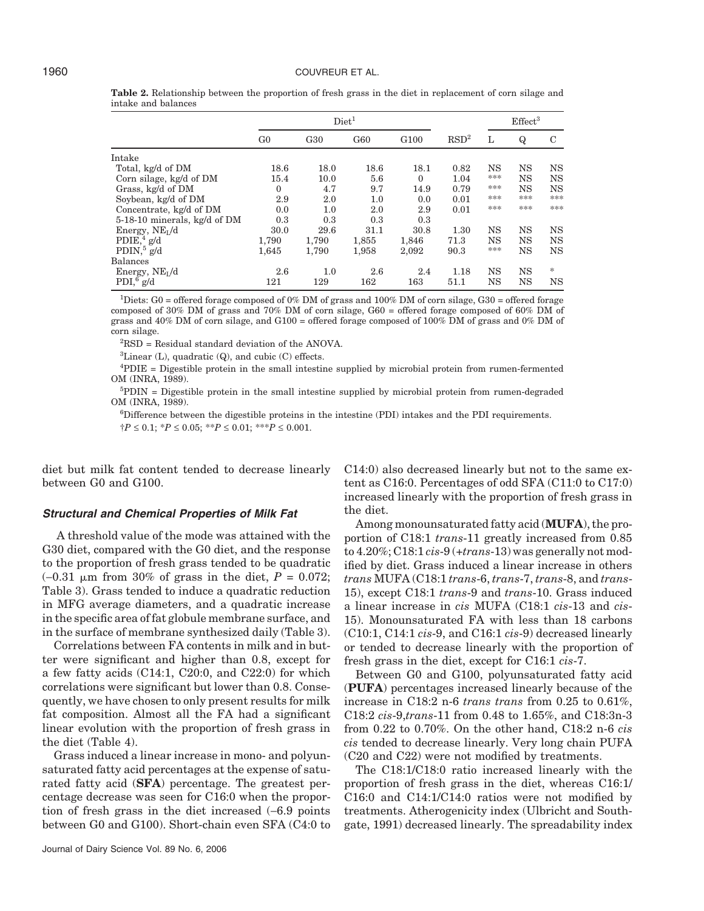|                                   | Diet <sup>1</sup> |                 |       |                  |                  |           | Effect <sup>3</sup> |           |
|-----------------------------------|-------------------|-----------------|-------|------------------|------------------|-----------|---------------------|-----------|
|                                   | G <sub>0</sub>    | G <sub>30</sub> | G60   | G <sub>100</sub> | RSD <sup>2</sup> | L         | $\bf Q$             | C         |
| Intake                            |                   |                 |       |                  |                  |           |                     |           |
| Total, kg/d of DM                 | 18.6              | 18.0            | 18.6  | 18.1             | 0.82             | NS        | NS                  | <b>NS</b> |
| Corn silage, kg/d of DM           | 15.4              | 10.0            | 5.6   | $\Omega$         | 1.04             | ***       | <b>NS</b>           | <b>NS</b> |
| Grass, kg/d of DM                 | $\mathbf{0}$      | 4.7             | 9.7   | 14.9             | 0.79             | ***       | NS                  | <b>NS</b> |
| Soybean, kg/d of DM               | 2.9               | 2.0             | 1.0   | 0.0              | 0.01             | ***       | ***                 | ***       |
| Concentrate, kg/d of DM           | 0.0               | 1.0             | 2.0   | 2.9              | 0.01             | ***       | ***                 | ***       |
| 5-18-10 minerals, kg/d of DM      | 0.3               | 0.3             | 0.3   | 0.3              |                  |           |                     |           |
| Energy, NEL/d                     | 30.0              | 29.6            | 31.1  | 30.8             | 1.30             | NS        | NS                  | <b>NS</b> |
| P DIE <sup>4</sup> g/d            | 1,790             | 1,790           | 1.855 | 1.846            | 71.3             | NS        | NS                  | <b>NS</b> |
| $PDIN,$ <sup>5</sup> g/d          | 1.645             | 1,790           | 1,958 | 2,092            | 90.3             | ***       | <b>NS</b>           | <b>NS</b> |
| <b>Balances</b>                   |                   |                 |       |                  |                  |           |                     |           |
| Energy, $NE_I/d$                  | 2.6               | 1.0             | 2.6   | 2.4              | 1.18             | <b>NS</b> | NS                  | *         |
| PDI <sub>1</sub> <sup>6</sup> g/d | 121               | 129             | 162   | 163              | 51.1             | NS        | NS                  | <b>NS</b> |

**Table 2.** Relationship between the proportion of fresh grass in the diet in replacement of corn silage and intake and balances

2 RSD = Residual standard deviation of the ANOVA.

 ${}^{3}$ Linear (L), quadratic (Q), and cubic (C) effects.

4 PDIE = Digestible protein in the small intestine supplied by microbial protein from rumen-fermented OM (INRA, 1989).

<sup>5</sup>PDIN = Digestible protein in the small intestine supplied by microbial protein from rumen-degraded OM (INRA, 1989).

6 Difference between the digestible proteins in the intestine (PDI) intakes and the PDI requirements. †*P* ≤ 0.1; \**P* ≤ 0.05; \*\**P* ≤ 0.01; \*\*\**P* ≤ 0.001.

diet but milk fat content tended to decrease linearly between G0 and G100.

## *Structural and Chemical Properties of Milk Fat*

A threshold value of the mode was attained with the G30 diet, compared with the G0 diet, and the response to the proportion of fresh grass tended to be quadratic  $(-0.31 \mu m$  from 30% of grass in the diet,  $P = 0.072$ ; Table 3). Grass tended to induce a quadratic reduction in MFG average diameters, and a quadratic increase in the specific area of fat globule membrane surface, and in the surface of membrane synthesized daily (Table 3).

Correlations between FA contents in milk and in butter were significant and higher than 0.8, except for a few fatty acids (C14:1, C20:0, and C22:0) for which correlations were significant but lower than 0.8. Consequently, we have chosen to only present results for milk fat composition. Almost all the FA had a significant linear evolution with the proportion of fresh grass in the diet (Table 4).

Grass induced a linear increase in mono- and polyunsaturated fatty acid percentages at the expense of saturated fatty acid (**SFA**) percentage. The greatest percentage decrease was seen for C16:0 when the proportion of fresh grass in the diet increased (−6.9 points between G0 and G100). Short-chain even SFA (C4:0 to

C14:0) also decreased linearly but not to the same extent as C16:0. Percentages of odd SFA (C11:0 to C17:0) increased linearly with the proportion of fresh grass in the diet.

Among monounsaturated fatty acid (**MUFA**), the proportion of C18:1 *trans*-11 greatly increased from 0.85 to 4.20%; C18:1 *cis*-9 (+*trans*-13) was generally not modified by diet. Grass induced a linear increase in others *trans* MUFA (C18:1 *trans*-6, *trans*-7, *trans*-8, and *trans*-15), except C18:1 *trans*-9 and *trans*-10. Grass induced a linear increase in *cis* MUFA (C18:1 *cis*-13 and *cis*-15). Monounsaturated FA with less than 18 carbons (C10:1, C14:1 *cis*-9, and C16:1 *cis*-9) decreased linearly or tended to decrease linearly with the proportion of fresh grass in the diet, except for C16:1 *cis*-7.

Between G0 and G100, polyunsaturated fatty acid (**PUFA**) percentages increased linearly because of the increase in C18:2 n-6 *trans trans* from 0.25 to 0.61%, C18:2 *cis*-9,*trans*-11 from 0.48 to 1.65%, and C18:3n-3 from 0.22 to 0.70%. On the other hand, C18:2 n-6 *cis cis* tended to decrease linearly. Very long chain PUFA (C20 and C22) were not modified by treatments.

The C18:1/C18:0 ratio increased linearly with the proportion of fresh grass in the diet, whereas C16:1/ C16:0 and C14:1/C14:0 ratios were not modified by treatments. Atherogenicity index (Ulbricht and Southgate, 1991) decreased linearly. The spreadability index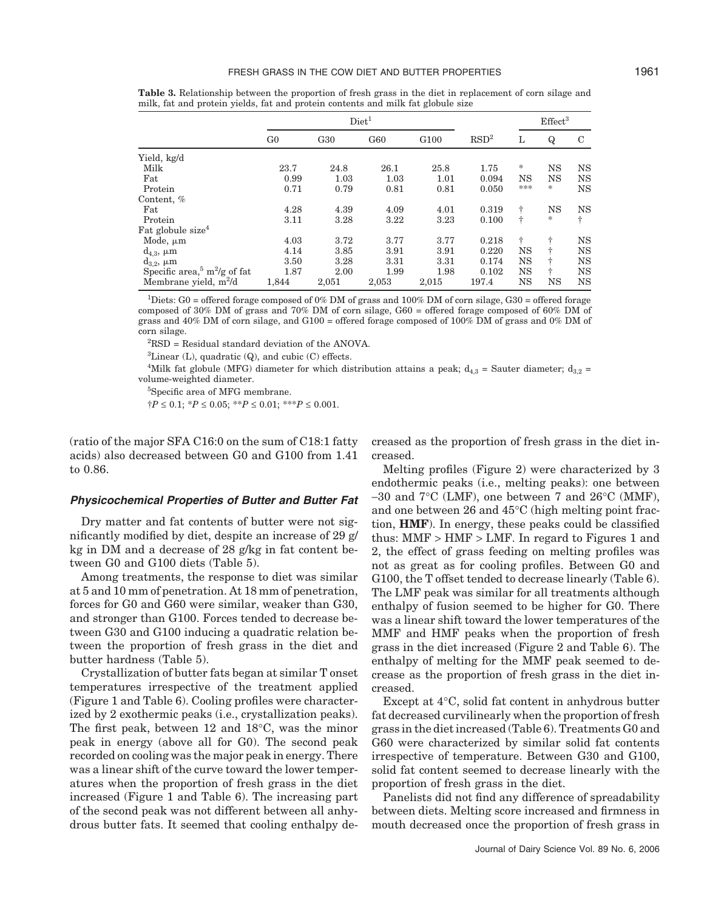|                                                      |                |                 |       | Effect <sup>3</sup> |                  |     |             |           |
|------------------------------------------------------|----------------|-----------------|-------|---------------------|------------------|-----|-------------|-----------|
|                                                      | G <sub>0</sub> | G <sub>30</sub> | G60   | G <sub>100</sub>    | RSD <sup>2</sup> | L   | $\mathbf Q$ | C         |
| Yield, kg/d                                          |                |                 |       |                     |                  |     |             |           |
| Milk                                                 | 23.7           | 24.8            | 26.1  | 25.8                | 1.75             | *   | NS          | <b>NS</b> |
| Fat                                                  | 0.99           | 1.03            | 1.03  | 1.01                | 0.094            | NS  | NS          | <b>NS</b> |
| Protein                                              | 0.71           | 0.79            | 0.81  | 0.81                | 0.050            | *** | *.          | <b>NS</b> |
| Content, %                                           |                |                 |       |                     |                  |     |             |           |
| Fat                                                  | 4.28           | 4.39            | 4.09  | 4.01                | 0.319            | ÷   | NS          | <b>NS</b> |
| Protein                                              | 3.11           | 3.28            | 3.22  | 3.23                | 0.100            | ÷   | *           | ÷         |
| Fat globule size <sup>4</sup>                        |                |                 |       |                     |                  |     |             |           |
| Mode, $\mu$ m                                        | 4.03           | 3.72            | 3.77  | 3.77                | 0.218            | ÷   | ÷           | <b>NS</b> |
| $d_{4,3}$ , $\mu$ m                                  | 4.14           | 3.85            | 3.91  | 3.91                | 0.220            | NS  | ÷           | <b>NS</b> |
| $d_{3,2}$ , $\mu$ m                                  | 3.50           | 3.28            | 3.31  | 3.31                | 0.174            | NS  | ÷           | <b>NS</b> |
| Specific area, <sup>5</sup> m <sup>2</sup> /g of fat | 1.87           | 2.00            | 1.99  | 1.98                | 0.102            | NS  | ÷           | <b>NS</b> |
| Membrane yield, $m^2/d$                              | 1,844          | 2,051           | 2,053 | 2,015               | 197.4            | NS  | NS          | <b>NS</b> |

**Table 3.** Relationship between the proportion of fresh grass in the diet in replacement of corn silage and milk, fat and protein yields, fat and protein contents and milk fat globule size

2 RSD = Residual standard deviation of the ANOVA.

 ${}^{3}$ Linear (L), quadratic (Q), and cubic (C) effects.

<sup>4</sup>Milk fat globule (MFG) diameter for which distribution attains a peak;  $d_{4,3}$  = Sauter diameter;  $d_{3,2}$  = volume-weighted diameter.

5 Specific area of MFG membrane.

†*P* ≤ 0.1; \**P* ≤ 0.05; \*\**P* ≤ 0.01; \*\*\**P* ≤ 0.001.

(ratio of the major SFA C16:0 on the sum of C18:1 fatty acids) also decreased between G0 and G100 from 1.41 to 0.86.

## *Physicochemical Properties of Butter and Butter Fat*

Dry matter and fat contents of butter were not significantly modified by diet, despite an increase of 29 g/ kg in DM and a decrease of 28 g/kg in fat content between G0 and G100 diets (Table 5).

Among treatments, the response to diet was similar at 5 and 10 mm of penetration. At 18 mm of penetration, forces for G0 and G60 were similar, weaker than G30, and stronger than G100. Forces tended to decrease between G30 and G100 inducing a quadratic relation between the proportion of fresh grass in the diet and butter hardness (Table 5).

Crystallization of butter fats began at similar T onset temperatures irrespective of the treatment applied (Figure 1 and Table 6). Cooling profiles were characterized by 2 exothermic peaks (i.e., crystallization peaks). The first peak, between 12 and 18°C, was the minor peak in energy (above all for G0). The second peak recorded on cooling was the major peak in energy. There was a linear shift of the curve toward the lower temperatures when the proportion of fresh grass in the diet increased (Figure 1 and Table 6). The increasing part of the second peak was not different between all anhydrous butter fats. It seemed that cooling enthalpy decreased as the proportion of fresh grass in the diet increased.

Melting profiles (Figure 2) were characterized by 3 endothermic peaks (i.e., melting peaks): one between −30 and 7°C (LMF), one between 7 and 26°C (MMF), and one between 26 and 45°C (high melting point fraction, **HMF**). In energy, these peaks could be classified thus:  $MMF > HMF > LMF$ . In regard to Figures 1 and 2, the effect of grass feeding on melting profiles was not as great as for cooling profiles. Between G0 and G100, the T offset tended to decrease linearly (Table 6). The LMF peak was similar for all treatments although enthalpy of fusion seemed to be higher for G0. There was a linear shift toward the lower temperatures of the MMF and HMF peaks when the proportion of fresh grass in the diet increased (Figure 2 and Table 6). The enthalpy of melting for the MMF peak seemed to decrease as the proportion of fresh grass in the diet increased.

Except at 4°C, solid fat content in anhydrous butter fat decreased curvilinearly when the proportion of fresh grass in the diet increased (Table 6). Treatments G0 and G60 were characterized by similar solid fat contents irrespective of temperature. Between G30 and G100, solid fat content seemed to decrease linearly with the proportion of fresh grass in the diet.

Panelists did not find any difference of spreadability between diets. Melting score increased and firmness in mouth decreased once the proportion of fresh grass in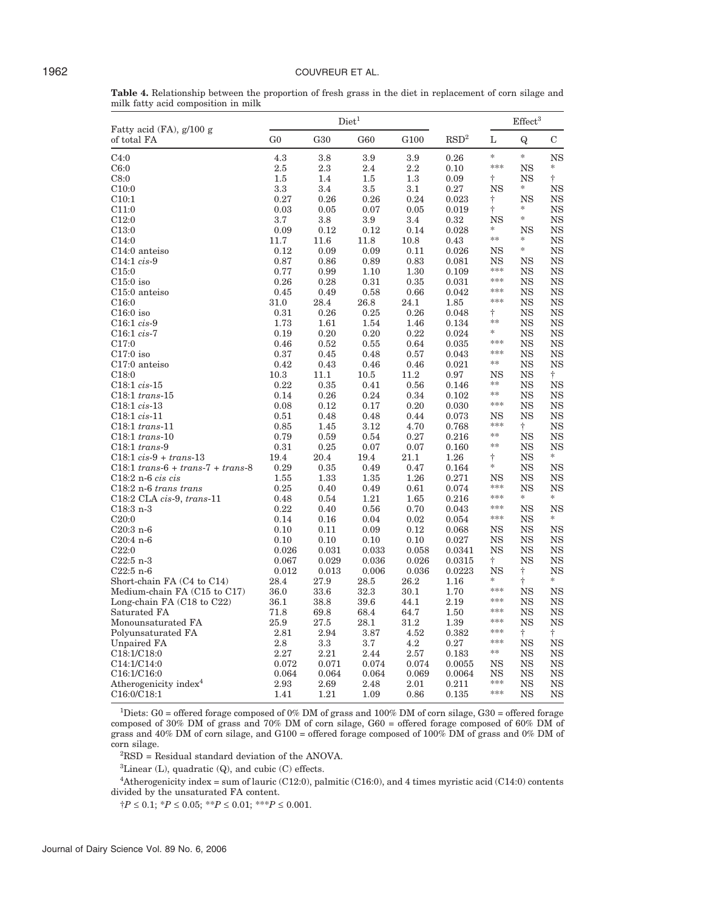|                                     |  |  | <b>Table 4.</b> Relationship between the proportion of fresh grass in the diet in replacement of corn silage and |  |  |
|-------------------------------------|--|--|------------------------------------------------------------------------------------------------------------------|--|--|
| milk fatty acid composition in milk |  |  |                                                                                                                  |  |  |

|                                         |                |                 | Diet <sup>1</sup> |                  |                  | Effect <sup>3</sup> |                   |                 |
|-----------------------------------------|----------------|-----------------|-------------------|------------------|------------------|---------------------|-------------------|-----------------|
| Fatty acid (FA), g/100 g<br>of total FA | G <sub>0</sub> | G <sub>30</sub> | G60               | G <sub>100</sub> | RSD <sup>2</sup> | L                   | Q                 | С               |
| C4:0                                    | 4.3            | 3.8             | 3.9               | 3.9              | 0.26             | $\ast$              | $\ast$            | <b>NS</b>       |
| C6:0                                    | 2.5            | 2.3             | 2.4               | $2.2\,$          | 0.10             | ***                 | NS                | *               |
| C8:0                                    | 1.5            | 1.4             | 1.5               | 1.3              | 0.09             | $\dagger$           | NS                | Ť               |
| C10:0                                   | 3.3            | 3.4             | 3.5               | 3.1              | 0.27             | NS                  | *                 | <b>NS</b>       |
| C10:1                                   | 0.27           | 0.26            | 0.26              | 0.24             | 0.023            | Ť                   | NS                | NS              |
| C11:0                                   | 0.03           | 0.05            | 0.07              | 0.05             | 0.019            | Ť                   | *                 | NS              |
| C12:0                                   | 3.7            | 3.8             | 3.9               | 3.4              | 0.32             | <b>NS</b>           | *                 | <b>NS</b>       |
| C13:0                                   | 0.09           | 0.12            | 0.12              | 0.14             | 0.028            | *                   | <b>NS</b>         | <b>NS</b>       |
| C <sub>14:0</sub>                       | 11.7           | 11.6            | 11.8              | 10.8             | 0.43             | $\ast$              | *                 | NS              |
| C14:0 anteiso                           | 0.12           | 0.09            | 0.09              | 0.11             | 0.026            | NS                  | *                 | <b>NS</b>       |
| $C14:1 \; cis - 9$                      | 0.87           | 0.86            | 0.89              | 0.83             | 0.081            | NS                  | NS                | NS              |
| C <sub>15:0</sub>                       | 0.77           | 0.99            | 1.10              | 1.30             | 0.109            | ***<br>***          | NS                | NS              |
| $C15:0$ iso                             | 0.26           | 0.28            | 0.31              | 0.35             | 0.031            | ***                 | NS                | NS              |
| $C15:0$ anteiso                         | 0.45           | 0.49            | 0.58              | 0.66             | 0.042            | ***                 | NS                | NS              |
| C16:0                                   | 31.0           | 28.4            | 26.8              | 24.1             | 1.85             |                     | NS                | NS              |
| $C16:0$ iso                             | 0.31           | 0.26            | 0.25              | 0.26             | 0.048            | Ť<br>**             | NS<br><b>NS</b>   | NS<br><b>NS</b> |
| $C16:1$ cis-9                           | 1.73<br>0.19   | 1.61            | 1.54              | 1.46             | 0.134            | *                   |                   | <b>NS</b>       |
| $C16:1 cis-7$                           |                | 0.20            | 0.20              | 0.22             | 0.024            | ***                 | NS<br><b>NS</b>   |                 |
| C17:0<br>$C17:0$ iso                    | 0.46<br>0.37   | 0.52<br>0.45    | 0.55<br>0.48      | 0.64<br>0.57     | 0.035<br>0.043   | ***                 | NS                | NS<br>NS        |
| $C17:0$ anteiso                         | 0.42           | 0.43            | 0.46              | 0.46             | 0.021            | **                  | NS                | NS              |
| C <sub>18:0</sub>                       | 10.3           | 11.1            | 10.5              | 11.2             | 0.97             | NS                  | NS                | Ť.              |
| $C18:1 cis-15$                          | 0.22           | 0.35            | 0.41              | 0.56             | 0.146            | **                  | NS                | <b>NS</b>       |
| $C18:1$ trans-15                        | 0.14           | 0.26            | 0.24              | 0.34             | 0.102            | **                  | NS                | NS              |
| C18:1 cis-13                            | 0.08           | 0.12            | 0.17              | 0.20             | 0.030            | ***                 | NS                | NS              |
| $C18:1 cis-11$                          | 0.51           | 0.48            | 0.48              | 0.44             | 0.073            | NS                  | <b>NS</b>         | NS              |
| $C18:1$ trans-11                        | 0.85           | 1.45            | 3.12              | 4.70             | 0.768            | ***                 | ÷                 | <b>NS</b>       |
| $C18:1$ trans-10                        | 0.79           | 0.59            | 0.54              | 0.27             | 0.216            | **                  | <b>NS</b>         | <b>NS</b>       |
| $C18:1$ trans-9                         | 0.31           | 0.25            | 0.07              | 0.07             | 0.160            | **                  | <b>NS</b>         | <b>NS</b>       |
| $C18:1 cis - 9 + trans - 13$            | 19.4           | 20.4            | 19.4              | 21.1             | 1.26             | $\dagger$           | NS                | $\ast$          |
| $C18:1$ trans- $6 + trans-7 + trans-8$  | 0.29           | 0.35            | 0.49              | 0.47             | 0.164            | ∗                   | NS                | <b>NS</b>       |
| $C18:2 n-6 cis cis$                     | 1.55           | 1.33            | 1.35              | 1.26             | 0.271            | NS                  | NS                | NS              |
| $C18:2$ n-6 trans trans                 | 0.25           | 0.40            | 0.49              | 0.61             | 0.074            | ***                 | <b>NS</b>         | NS              |
| $C18:2$ CLA cis-9, trans-11             | 0.48           | 0.54            | 1.21              | 1.65             | 0.216            | ***                 | *                 | $\frac{1}{2}$   |
| $C18:3n-3$                              | 0.22           | 0.40            | 0.56              | 0.70             | 0.043            | ***                 | NS                | NS              |
| C20:0                                   | 0.14           | 0.16            | 0.04              | 0.02             | 0.054            | ***                 | <b>NS</b>         | $\frac{1}{2}$   |
| $C20:3n-6$                              | 0.10           | 0.11            | 0.09              | 0.12             | 0.068            | NS                  | <b>NS</b>         | <b>NS</b>       |
| $C20:4n-6$                              | 0.10           | 0.10            | 0.10              | 0.10             | 0.027            | NS                  | NS                | <b>NS</b>       |
| C22:0                                   | 0.026          | 0.031           | 0.033             | 0.058            | 0.0341           | NS                  | NS                | NS              |
| $C22:5 n-3$                             | 0.067          | 0.029           | 0.036             | 0.026            | 0.0315           | ÷                   | NS                | NS              |
| $C22:5n-6$                              | 0.012          | 0.013           | 0.006             | 0.036            | 0.0223           | NS                  | Ť                 | NS              |
| Short-chain FA (C4 to C14)              | 28.4           | 27.9            | 28.5              | 26.2             | 1.16             | *<br>***            | ÷                 | *               |
| Medium-chain FA (C15 to C17)            | 36.0           | 33.6            | 32.3              | 30.1             | 1.70             | ***                 | <b>NS</b>         | <b>NS</b>       |
| Long-chain $FA$ (C18 to C22)            | 36.1           | 38.8            | 39.6              | 44.1             | 2.19             | ***                 | <b>NS</b>         | NS              |
| Saturated FA                            | 71.8           | 69.8            | 68.4              | 64.7             | 1.50             | ***                 | NS<br>$_{\rm NS}$ | NS<br><b>NS</b> |
| Monounsaturated FA                      | 25.9<br>2.81   | 27.5<br>2.94    | 28.1<br>3.87      | 31.2<br>4.52     | 1.39<br>0.382    | ***                 | t                 | ÷               |
| Polyunsaturated FA<br>Unpaired FA       | 2.8            | 3.3             | 3.7               | 4.2              | 0.27             | ***                 | <b>NS</b>         | <b>NS</b>       |
| C <sub>18:1</sub> /C <sub>18:0</sub>    | 2.27           | 2.21            | 2.44              | 2.57             | 0.183            | $**$                | NS                | NS              |
| C14:1/C14:0                             | 0.072          | 0.071           | 0.074             | 0.074            | 0.0055           | NS                  | NS                | NS              |
| C <sub>16:1</sub> /C <sub>16:0</sub>    | 0.064          | 0.064           | 0.064             | 0.069            | 0.0064           | NS                  | NS                | NS              |
| Atherogenicity index <sup>4</sup>       | 2.93           | 2.69            | 2.48              | 2.01             | 0.211            | ***                 | NS                | NS              |
| C <sub>16:0</sub> /C <sub>18:1</sub>    | 1.41           | 1.21            | 1.09              | 0.86             | 0.135            | ***                 | NS                | <b>NS</b>       |

2 RSD = Residual standard deviation of the ANOVA.

 ${}^{3}$ Linear (L), quadratic (Q), and cubic (C) effects.

4 Atherogenicity index = sum of lauric (C12:0), palmitic (C16:0), and 4 times myristic acid (C14:0) contents divided by the unsaturated FA content.

†*P* ≤ 0.1; \**P* ≤ 0.05; \*\**P* ≤ 0.01; \*\*\**P* ≤ 0.001.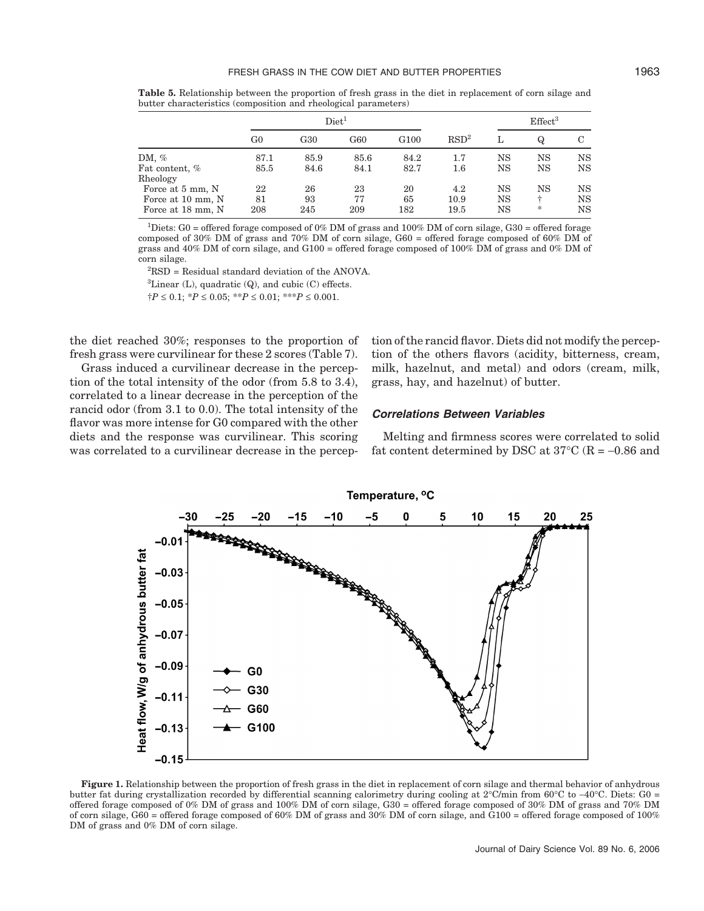**Table 5.** Relationship between the proportion of fresh grass in the diet in replacement of corn silage and butter characteristics (composition and rheological parameters)

|                   | Diet <sup>1</sup> |      |      |                  |                  |    | Effect <sup>3</sup> |    |
|-------------------|-------------------|------|------|------------------|------------------|----|---------------------|----|
|                   | G <sub>0</sub>    | G30  | G60  | G <sub>100</sub> | RSD <sup>2</sup> |    | $\omega$            | C  |
| DM, $%$           | 87.1              | 85.9 | 85.6 | 84.2             | 1.7              | NS | NS                  | NS |
| Fat content, %    | 85.5              | 84.6 | 84.1 | 82.7             | $1.6\,$          | NS | NS                  | NS |
| Rheology          |                   |      |      |                  |                  |    |                     |    |
| Force at 5 mm, N  | 22                | 26   | 23   | 20               | 4.2              | NS | NS                  | NS |
| Force at 10 mm, N | 81                | 93   | 77   | 65               | 10.9             | NS | ÷                   | NS |
| Force at 18 mm, N | 208               | 245  | 209  | 182              | 19.5             | NS | *                   | NS |

2 RSD = Residual standard deviation of the ANOVA.  ${}^{3}$ Linear (L), quadratic (Q), and cubic (C) effects. †*P* ≤ 0.1; \**P* ≤ 0.05; \*\**P* ≤ 0.01; \*\*\**P* ≤ 0.001.

the diet reached 30%; responses to the proportion of fresh grass were curvilinear for these 2 scores (Table 7).

Grass induced a curvilinear decrease in the perception of the total intensity of the odor (from 5.8 to 3.4), correlated to a linear decrease in the perception of the rancid odor (from 3.1 to 0.0). The total intensity of the flavor was more intense for G0 compared with the other diets and the response was curvilinear. This scoring was correlated to a curvilinear decrease in the perception of the rancid flavor. Diets did not modify the perception of the others flavors (acidity, bitterness, cream, milk, hazelnut, and metal) and odors (cream, milk, grass, hay, and hazelnut) of butter.

## *Correlations Between Variables*

Melting and firmness scores were correlated to solid fat content determined by DSC at  $37^{\circ}$ C (R = −0.86 and



**Figure 1.** Relationship between the proportion of fresh grass in the diet in replacement of corn silage and thermal behavior of anhydrous butter fat during crystallization recorded by differential scanning calorimetry during cooling at 2°C/min from 60°C to −40°C. Diets: G0 = offered forage composed of 0% DM of grass and 100% DM of corn silage, G30 = offered forage composed of 30% DM of grass and 70% DM of corn silage, G60 = offered forage composed of 60% DM of grass and  $30\%$  DM of corn silage, and  $\dot{G}100$  = offered forage composed of 100% DM of grass and 0% DM of corn silage.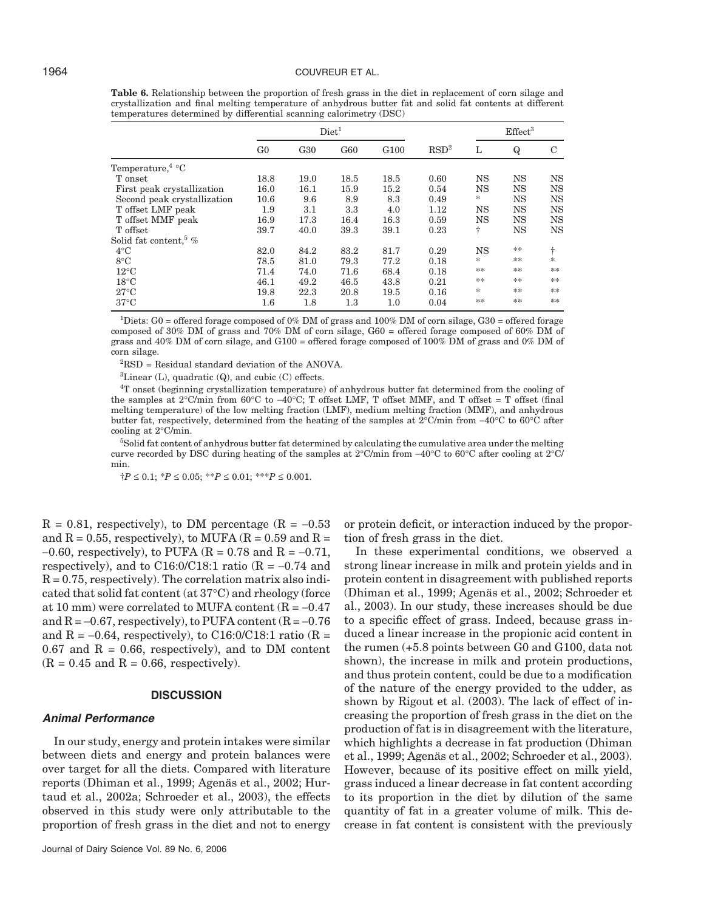|                                    |                | Diet <sup>1</sup> |         |                  |                  |    |             |             |
|------------------------------------|----------------|-------------------|---------|------------------|------------------|----|-------------|-------------|
|                                    | G <sub>0</sub> | G <sub>30</sub>   | G60     | G <sub>100</sub> | RSD <sup>2</sup> | L  | Q           | C           |
| Temperature, $4^{\circ}$ C         |                |                   |         |                  |                  |    |             |             |
| T onset                            | 18.8           | 19.0              | 18.5    | 18.5             | 0.60             | NS | $_{\rm NS}$ | $_{\rm NS}$ |
| First peak crystallization         | 16.0           | 16.1              | 15.9    | 15.2             | 0.54             | NS | $_{\rm NS}$ | $_{\rm NS}$ |
| Second peak crystallization        | 10.6           | 9.6               | 8.9     | 8.3              | 0.49             | *  | $_{\rm NS}$ | <b>NS</b>   |
| T offset LMF peak                  | 1.9            | 3.1               | 3.3     | 4.0              | 1.12             | NS | $_{\rm NS}$ | <b>NS</b>   |
| T offset MMF peak                  | 16.9           | 17.3              | 16.4    | 16.3             | 0.59             | NS | $_{\rm NS}$ | <b>NS</b>   |
| T offset                           | 39.7           | 40.0              | 39.3    | 39.1             | 0.23             | ÷  | $_{\rm NS}$ | $_{\rm NS}$ |
| Solid fat content, $\frac{5}{6}$ % |                |                   |         |                  |                  |    |             |             |
| $4^{\circ}$ C                      | 82.0           | 84.2              | 83.2    | 81.7             | 0.29             | NS | **          | ÷           |
| $8^{\circ}$ C                      | 78.5           | 81.0              | 79.3    | 77.2             | 0.18             | *  | **          | $\ast$      |
| $12^{\circ}$ C                     | 71.4           | 74.0              | 71.6    | 68.4             | 0.18             | ** | **          | **          |
| $18^{\circ}$ C                     | 46.1           | 49.2              | 46.5    | 43.8             | 0.21             | ** | **          | **          |
| $27^{\circ}$ C                     | 19.8           | 22.3              | 20.8    | 19.5             | 0.16             | *  | **          | **          |
| $37^{\circ}$ C                     | $1.6\,$        | 1.8               | $1.3\,$ | 1.0              | 0.04             | ** | **          | **          |

**Table 6.** Relationship between the proportion of fresh grass in the diet in replacement of corn silage and crystallization and final melting temperature of anhydrous butter fat and solid fat contents at different temperatures determined by differential scanning calorimetry (DSC)

2 RSD = Residual standard deviation of the ANOVA.

 ${}^{3}$ Linear (L), quadratic (Q), and cubic (C) effects.

4 T onset (beginning crystallization temperature) of anhydrous butter fat determined from the cooling of the samples at 2°C/min from 60°C to  $-40$ °C; T offset LMF, T offset MMF, and T offset = T offset (final melting temperature) of the low melting fraction (LMF), medium melting fraction (MMF), and anhydrous butter fat, respectively, determined from the heating of the samples at 2°C/min from −40°C to 60°C after cooling at 2°C/min.

5 Solid fat content of anhydrous butter fat determined by calculating the cumulative area under the melting curve recorded by DSC during heating of the samples at 2°C/min from −40°C to 60°C after cooling at 2°C/ min.

 $\dagger P \leq 0.1$ ;  $\dagger P \leq 0.05$ ;  $\dagger P \leq 0.01$ ;  $\dagger P \leq 0.001$ .

 $R = 0.81$ , respectively), to DM percentage ( $R = -0.53$ ) and  $R = 0.55$ , respectively), to MUFA ( $R = 0.59$  and  $R =$  $-0.60$ , respectively), to PUFA (R = 0.78 and R =  $-0.71$ , respectively), and to C16:0/C18:1 ratio ( $R = -0.74$  and  $R = 0.75$ , respectively). The correlation matrix also indicated that solid fat content (at 37°C) and rheology (force at 10 mm) were correlated to MUFA content ( $R = -0.47$ and  $R = -0.67$ , respectively), to PUFA content ( $R = -0.76$ and R =  $-0.64$ , respectively), to C16:0/C18:1 ratio (R =  $0.67$  and  $R = 0.66$ , respectively), and to DM content  $(R = 0.45$  and  $R = 0.66$ , respectively).

#### **DISCUSSION**

# *Animal Performance*

In our study, energy and protein intakes were similar between diets and energy and protein balances were over target for all the diets. Compared with literature reports (Dhiman et al., 1999; Agenäs et al., 2002; Hurtaud et al., 2002a; Schroeder et al., 2003), the effects observed in this study were only attributable to the proportion of fresh grass in the diet and not to energy

or protein deficit, or interaction induced by the proportion of fresh grass in the diet.

In these experimental conditions, we observed a strong linear increase in milk and protein yields and in protein content in disagreement with published reports (Dhiman et al., 1999; Agenäs et al., 2002; Schroeder et al., 2003). In our study, these increases should be due to a specific effect of grass. Indeed, because grass induced a linear increase in the propionic acid content in the rumen (+5.8 points between G0 and G100, data not shown), the increase in milk and protein productions, and thus protein content, could be due to a modification of the nature of the energy provided to the udder, as shown by Rigout et al. (2003). The lack of effect of increasing the proportion of fresh grass in the diet on the production of fat is in disagreement with the literature, which highlights a decrease in fat production (Dhiman et al., 1999; Agenäs et al., 2002; Schroeder et al., 2003). However, because of its positive effect on milk yield, grass induced a linear decrease in fat content according to its proportion in the diet by dilution of the same quantity of fat in a greater volume of milk. This decrease in fat content is consistent with the previously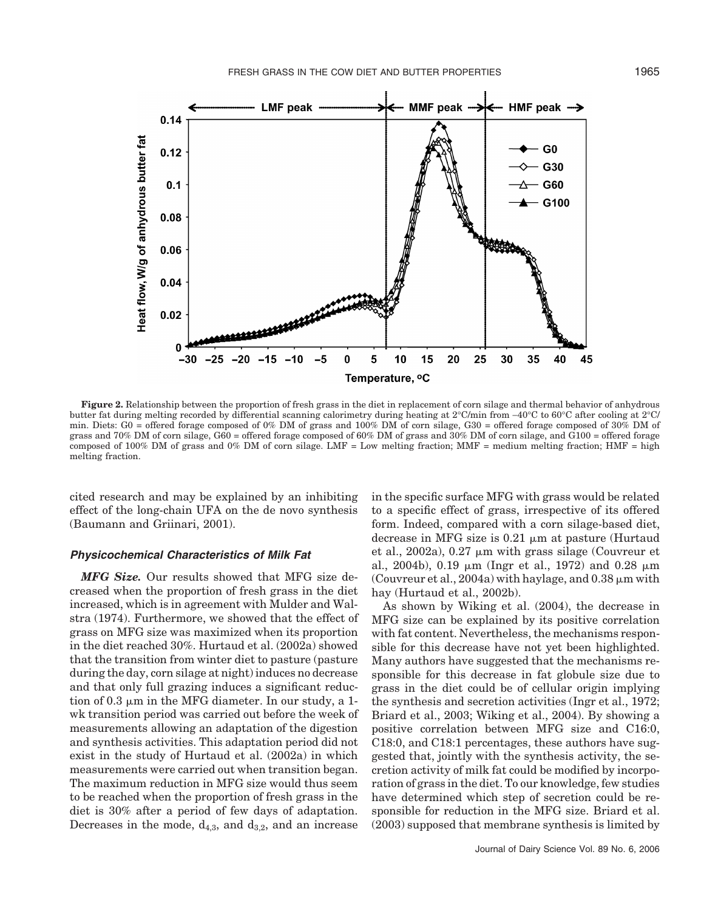

**Figure 2.** Relationship between the proportion of fresh grass in the diet in replacement of corn silage and thermal behavior of anhydrous butter fat during melting recorded by differential scanning calorimetry during heating at 2°C/min from −40°C to 60°C after cooling at 2°C/ min. Diets: G0 = offered forage composed of 0% DM of grass and 100% DM of corn silage, G30 = offered forage composed of 30% DM of grass and 70% DM of corn silage, G60 = offered forage composed of 60% DM of grass and 30% DM of corn silage, and G100 = offered forage composed of 100% DM of grass and 0% DM of corn silage. LMF = Low melting fraction; MMF = medium melting fraction; HMF = high melting fraction.

cited research and may be explained by an inhibiting effect of the long-chain UFA on the de novo synthesis (Baumann and Griinari, 2001).

# *Physicochemical Characteristics of Milk Fat*

*MFG Size.* Our results showed that MFG size decreased when the proportion of fresh grass in the diet increased, which is in agreement with Mulder and Walstra (1974). Furthermore, we showed that the effect of grass on MFG size was maximized when its proportion in the diet reached 30%. Hurtaud et al. (2002a) showed that the transition from winter diet to pasture (pasture during the day, corn silage at night) induces no decrease and that only full grazing induces a significant reduction of 0.3  $\mu$ m in the MFG diameter. In our study, a 1wk transition period was carried out before the week of measurements allowing an adaptation of the digestion and synthesis activities. This adaptation period did not exist in the study of Hurtaud et al. (2002a) in which measurements were carried out when transition began. The maximum reduction in MFG size would thus seem to be reached when the proportion of fresh grass in the diet is 30% after a period of few days of adaptation. Decreases in the mode,  $d_{4,3}$ , and  $d_{3,2}$ , and an increase in the specific surface MFG with grass would be related to a specific effect of grass, irrespective of its offered form. Indeed, compared with a corn silage-based diet, decrease in MFG size is  $0.21 \mu m$  at pasture (Hurtaud et al., 2002a),  $0.27 \mu m$  with grass silage (Couvreur et al., 2004b), 0.19  $\mu$ m (Ingr et al., 1972) and 0.28  $\mu$ m (Couvreur et al., 2004a) with haylage, and  $0.38 \mu m$  with hay (Hurtaud et al., 2002b).

As shown by Wiking et al. (2004), the decrease in MFG size can be explained by its positive correlation with fat content. Nevertheless, the mechanisms responsible for this decrease have not yet been highlighted. Many authors have suggested that the mechanisms responsible for this decrease in fat globule size due to grass in the diet could be of cellular origin implying the synthesis and secretion activities (Ingr et al., 1972; Briard et al., 2003; Wiking et al., 2004). By showing a positive correlation between MFG size and C16:0, C18:0, and C18:1 percentages, these authors have suggested that, jointly with the synthesis activity, the secretion activity of milk fat could be modified by incorporation of grass in the diet. To our knowledge, few studies have determined which step of secretion could be responsible for reduction in the MFG size. Briard et al. (2003) supposed that membrane synthesis is limited by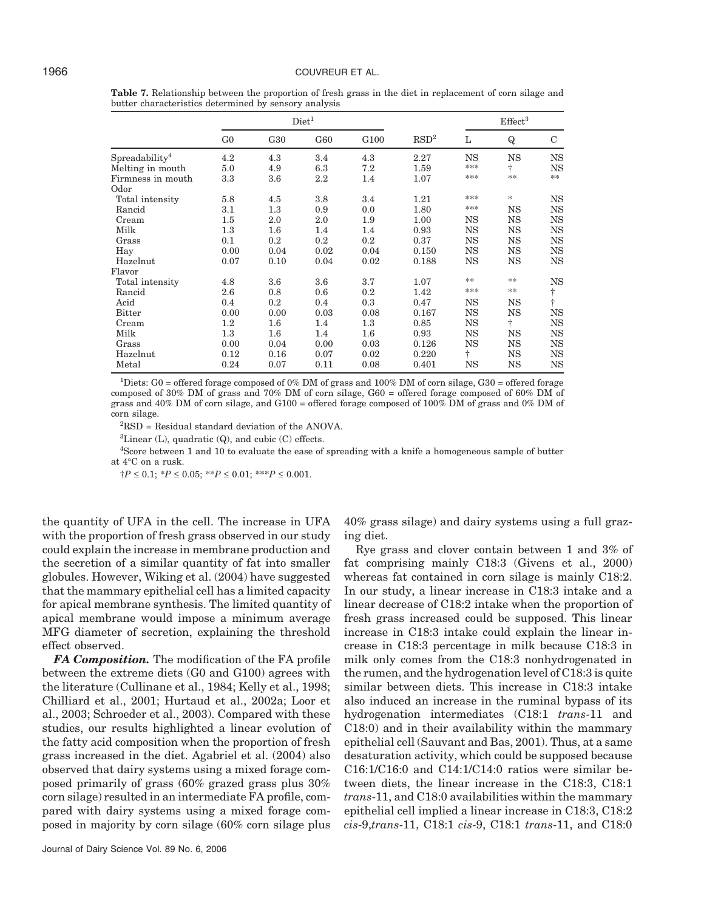|                               | Diet <sup>1</sup> |         |         |                  |                  |             | $\mathrm{Effect}^3$ |             |  |
|-------------------------------|-------------------|---------|---------|------------------|------------------|-------------|---------------------|-------------|--|
|                               | G <sub>0</sub>    | G30     | G60     | G <sub>100</sub> | RSD <sup>2</sup> | L           | Q                   | $\mathbf C$ |  |
| $S$ preadability <sup>4</sup> | 4.2               | 4.3     | 3.4     | 4.3              | 2.27             | $_{\rm NS}$ | $_{\rm NS}$         | $_{\rm NS}$ |  |
| Melting in mouth              | 5.0               | 4.9     | 6.3     | 7.2              | 1.59             | ***         | ÷                   | <b>NS</b>   |  |
| Firmness in mouth             | 3.3               | 3.6     | 2.2     | 1.4              | 1.07             | ***         | **                  | **          |  |
| Odor                          |                   |         |         |                  |                  |             |                     |             |  |
| Total intensity               | 5.8               | 4.5     | 3.8     | 3.4              | 1.21             | ***         | *                   | NS          |  |
| Rancid                        | 3.1               | 1.3     | 0.9     | 0.0              | 1.80             | ***         | <b>NS</b>           | $_{\rm NS}$ |  |
| Cream                         | 1.5               | 2.0     | 2.0     | 1.9              | 1.00             | $_{\rm NS}$ | $_{\rm NS}$         | $_{\rm NS}$ |  |
| Milk                          | 1.3               | $1.6\,$ | 1.4     | 1.4              | 0.93             | <b>NS</b>   | <b>NS</b>           | <b>NS</b>   |  |
| Grass                         | 0.1               | 0.2     | 0.2     | 0.2              | 0.37             | $_{\rm NS}$ | $_{\rm NS}$         | <b>NS</b>   |  |
| Hay                           | 0.00              | 0.04    | 0.02    | 0.04             | 0.150            | $_{\rm NS}$ | $_{\rm NS}$         | <b>NS</b>   |  |
| Hazelnut                      | 0.07              | 0.10    | 0.04    | 0.02             | 0.188            | $_{\rm NS}$ | $_{\rm NS}$         | <b>NS</b>   |  |
| Flavor                        |                   |         |         |                  |                  |             |                     |             |  |
| Total intensity               | 4.8               | 3.6     | 3.6     | 3.7              | 1.07             | **          | **                  | <b>NS</b>   |  |
| Rancid                        | 2.6               | 0.8     | 0.6     | 0.2              | 1.42             | ***         | **                  | ÷           |  |
| Acid                          | 0.4               | 0.2     | 0.4     | 0.3              | 0.47             | <b>NS</b>   | $_{\rm NS}$         | $\ddagger$  |  |
| <b>Bitter</b>                 | 0.00              | 0.00    | 0.03    | 0.08             | 0.167            | $_{\rm NS}$ | $_{\rm NS}$         | <b>NS</b>   |  |
| Cream                         | $1.2\,$           | $1.6\,$ | $1.4\,$ | 1.3              | 0.85             | $_{\rm NS}$ | ÷                   | <b>NS</b>   |  |
| Milk                          | 1.3               | $1.6\,$ | 1.4     | 1.6              | 0.93             | $_{\rm NS}$ | $_{\rm NS}$         | <b>NS</b>   |  |
| Grass                         | 0.00              | 0.04    | 0.00    | 0.03             | 0.126            | <b>NS</b>   | $_{\rm NS}$         | <b>NS</b>   |  |
| Hazelnut                      | 0.12              | 0.16    | 0.07    | 0.02             | 0.220            | ÷           | <b>NS</b>           | $_{\rm NS}$ |  |
| Metal                         | 0.24              | 0.07    | 0.11    | 0.08             | 0.401            | NS          | NS                  | <b>NS</b>   |  |

**Table 7.** Relationship between the proportion of fresh grass in the diet in replacement of corn silage and butter characteristics determined by sensory analysis

2 RSD = Residual standard deviation of the ANOVA.

 ${}^{3}$ Linear (L), quadratic (Q), and cubic (C) effects.

4 Score between 1 and 10 to evaluate the ease of spreading with a knife a homogeneous sample of butter at 4°C on a rusk.

†*P* ≤ 0.1; \**P* ≤ 0.05; \*\**P* ≤ 0.01; \*\*\**P* ≤ 0.001.

the quantity of UFA in the cell. The increase in UFA with the proportion of fresh grass observed in our study could explain the increase in membrane production and the secretion of a similar quantity of fat into smaller globules. However, Wiking et al. (2004) have suggested that the mammary epithelial cell has a limited capacity for apical membrane synthesis. The limited quantity of apical membrane would impose a minimum average MFG diameter of secretion, explaining the threshold effect observed.

*FA Composition.* The modification of the FA profile between the extreme diets (G0 and G100) agrees with the literature (Cullinane et al., 1984; Kelly et al., 1998; Chilliard et al., 2001; Hurtaud et al., 2002a; Loor et al., 2003; Schroeder et al., 2003). Compared with these studies, our results highlighted a linear evolution of the fatty acid composition when the proportion of fresh grass increased in the diet. Agabriel et al. (2004) also observed that dairy systems using a mixed forage composed primarily of grass (60% grazed grass plus 30% corn silage) resulted in an intermediate FA profile, compared with dairy systems using a mixed forage composed in majority by corn silage (60% corn silage plus 40% grass silage) and dairy systems using a full grazing diet.

Rye grass and clover contain between 1 and 3% of fat comprising mainly C18:3 (Givens et al., 2000) whereas fat contained in corn silage is mainly C18:2. In our study, a linear increase in C18:3 intake and a linear decrease of C18:2 intake when the proportion of fresh grass increased could be supposed. This linear increase in C18:3 intake could explain the linear increase in C18:3 percentage in milk because C18:3 in milk only comes from the C18:3 nonhydrogenated in the rumen, and the hydrogenation level of C18:3 is quite similar between diets. This increase in C18:3 intake also induced an increase in the ruminal bypass of its hydrogenation intermediates (C18:1 *trans*-11 and C18:0) and in their availability within the mammary epithelial cell (Sauvant and Bas, 2001). Thus, at a same desaturation activity, which could be supposed because C16:1/C16:0 and C14:1/C14:0 ratios were similar between diets, the linear increase in the C18:3, C18:1 *trans*-11, and C18:0 availabilities within the mammary epithelial cell implied a linear increase in C18:3, C18:2 *cis*-9,*trans*-11, C18:1 *cis*-9, C18:1 *trans*-11, and C18:0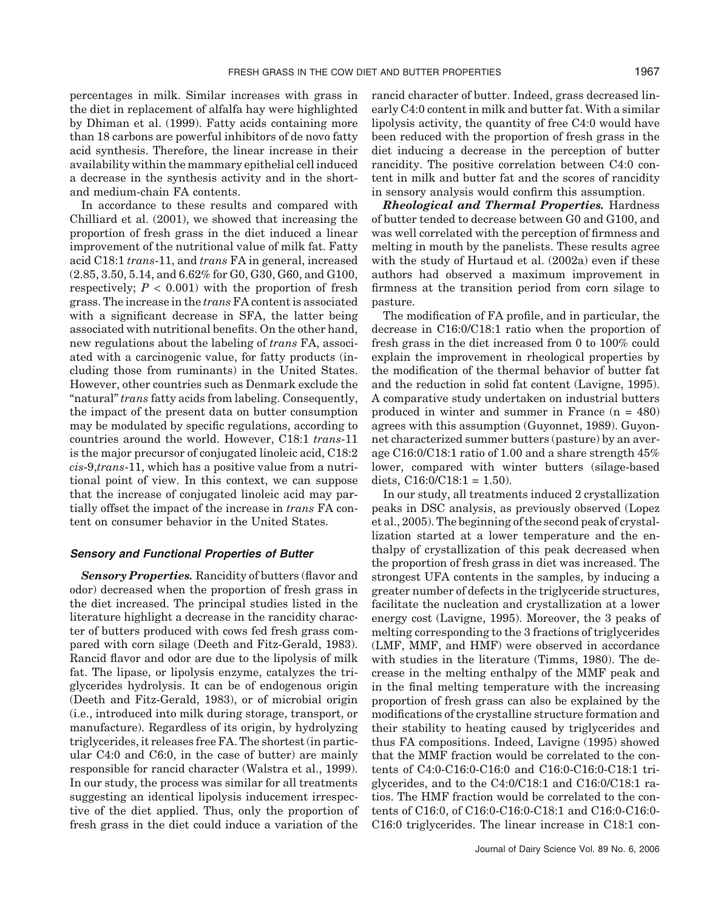percentages in milk. Similar increases with grass in the diet in replacement of alfalfa hay were highlighted by Dhiman et al. (1999). Fatty acids containing more than 18 carbons are powerful inhibitors of de novo fatty acid synthesis. Therefore, the linear increase in their availability within the mammary epithelial cell induced a decrease in the synthesis activity and in the shortand medium-chain FA contents.

In accordance to these results and compared with Chilliard et al. (2001), we showed that increasing the proportion of fresh grass in the diet induced a linear improvement of the nutritional value of milk fat. Fatty acid C18:1 *trans*-11, and *trans* FA in general, increased (2.85, 3.50, 5.14, and 6.62% for G0, G30, G60, and G100, respectively;  $P < 0.001$ ) with the proportion of fresh grass. The increase in the *trans* FA content is associated with a significant decrease in SFA, the latter being associated with nutritional benefits. On the other hand, new regulations about the labeling of *trans* FA, associated with a carcinogenic value, for fatty products (including those from ruminants) in the United States. However, other countries such as Denmark exclude the "natural" *trans* fatty acids from labeling. Consequently, the impact of the present data on butter consumption may be modulated by specific regulations, according to countries around the world. However, C18:1 *trans*-11 is the major precursor of conjugated linoleic acid, C18:2 *cis*-9,*trans*-11, which has a positive value from a nutritional point of view. In this context, we can suppose that the increase of conjugated linoleic acid may partially offset the impact of the increase in *trans* FA content on consumer behavior in the United States.

# *Sensory and Functional Properties of Butter*

*Sensory Properties.* Rancidity of butters (flavor and odor) decreased when the proportion of fresh grass in the diet increased. The principal studies listed in the literature highlight a decrease in the rancidity character of butters produced with cows fed fresh grass compared with corn silage (Deeth and Fitz-Gerald, 1983). Rancid flavor and odor are due to the lipolysis of milk fat. The lipase, or lipolysis enzyme, catalyzes the triglycerides hydrolysis. It can be of endogenous origin (Deeth and Fitz-Gerald, 1983), or of microbial origin (i.e., introduced into milk during storage, transport, or manufacture). Regardless of its origin, by hydrolyzing triglycerides, it releases free FA. The shortest (in particular C4:0 and C6:0, in the case of butter) are mainly responsible for rancid character (Walstra et al., 1999). In our study, the process was similar for all treatments suggesting an identical lipolysis inducement irrespective of the diet applied. Thus, only the proportion of fresh grass in the diet could induce a variation of the rancid character of butter. Indeed, grass decreased linearly C4:0 content in milk and butter fat. With a similar lipolysis activity, the quantity of free C4:0 would have been reduced with the proportion of fresh grass in the diet inducing a decrease in the perception of butter rancidity. The positive correlation between C4:0 content in milk and butter fat and the scores of rancidity in sensory analysis would confirm this assumption.

*Rheological and Thermal Properties.* Hardness of butter tended to decrease between G0 and G100, and was well correlated with the perception of firmness and melting in mouth by the panelists. These results agree with the study of Hurtaud et al. (2002a) even if these authors had observed a maximum improvement in firmness at the transition period from corn silage to pasture.

The modification of FA profile, and in particular, the decrease in C16:0/C18:1 ratio when the proportion of fresh grass in the diet increased from 0 to 100% could explain the improvement in rheological properties by the modification of the thermal behavior of butter fat and the reduction in solid fat content (Lavigne, 1995). A comparative study undertaken on industrial butters produced in winter and summer in France (n = 480) agrees with this assumption (Guyonnet, 1989). Guyonnet characterized summer butters (pasture) by an average C16:0/C18:1 ratio of 1.00 and a share strength 45% lower, compared with winter butters (silage-based diets,  $C16:0/C18:1 = 1.50$ .

In our study, all treatments induced 2 crystallization peaks in DSC analysis, as previously observed (Lopez et al., 2005). The beginning of the second peak of crystallization started at a lower temperature and the enthalpy of crystallization of this peak decreased when the proportion of fresh grass in diet was increased. The strongest UFA contents in the samples, by inducing a greater number of defects in the triglyceride structures, facilitate the nucleation and crystallization at a lower energy cost (Lavigne, 1995). Moreover, the 3 peaks of melting corresponding to the 3 fractions of triglycerides (LMF, MMF, and HMF) were observed in accordance with studies in the literature (Timms, 1980). The decrease in the melting enthalpy of the MMF peak and in the final melting temperature with the increasing proportion of fresh grass can also be explained by the modifications of the crystalline structure formation and their stability to heating caused by triglycerides and thus FA compositions. Indeed, Lavigne (1995) showed that the MMF fraction would be correlated to the contents of C4:0-C16:0-C16:0 and C16:0-C16:0-C18:1 triglycerides, and to the C4:0/C18:1 and C16:0/C18:1 ratios. The HMF fraction would be correlated to the contents of C16:0, of C16:0-C16:0-C18:1 and C16:0-C16:0- C16:0 triglycerides. The linear increase in C18:1 con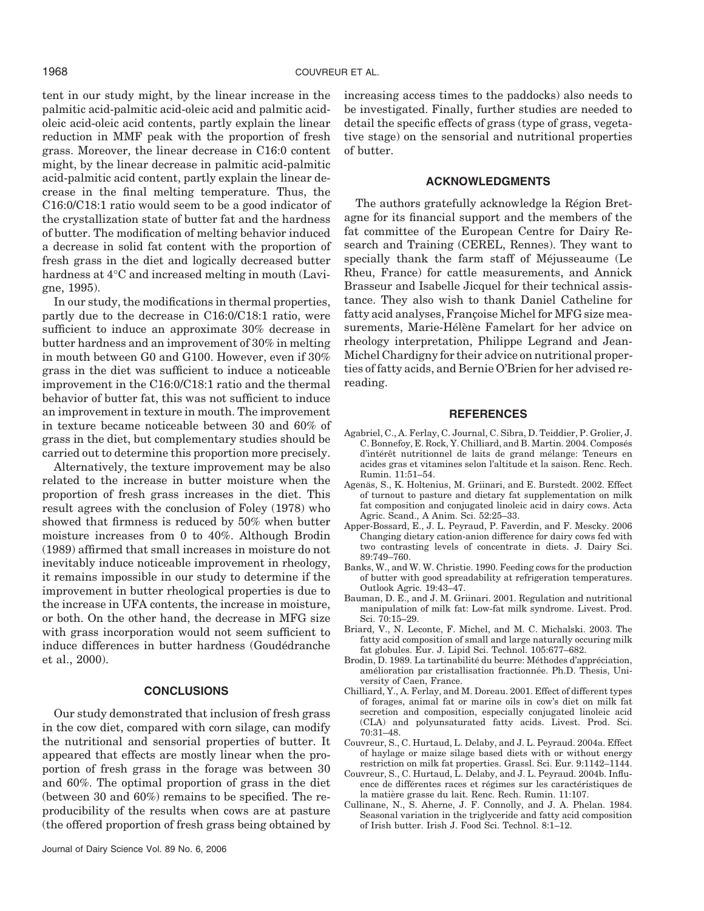tent in our study might, by the linear increase in the palmitic acid-palmitic acid-oleic acid and palmitic acidoleic acid-oleic acid contents, partly explain the linear reduction in MMF peak with the proportion of fresh grass. Moreover, the linear decrease in C16:0 content might, by the linear decrease in palmitic acid-palmitic acid-palmitic acid content, partly explain the linear decrease in the final melting temperature. Thus, the C16:0/C18:1 ratio would seem to be a good indicator of the crystallization state of butter fat and the hardness of butter. The modification of melting behavior induced a decrease in solid fat content with the proportion of fresh grass in the diet and logically decreased butter hardness at 4°C and increased melting in mouth (Lavigne, 1995).

In our study, the modifications in thermal properties, partly due to the decrease in C16:0/C18:1 ratio, were sufficient to induce an approximate 30% decrease in butter hardness and an improvement of 30% in melting in mouth between G0 and G100. However, even if 30% grass in the diet was sufficient to induce a noticeable improvement in the C16:0/C18:1 ratio and the thermal behavior of butter fat, this was not sufficient to induce an improvement in texture in mouth. The improvement in texture became noticeable between 30 and 60% of grass in the diet, but complementary studies should be carried out to determine this proportion more precisely.

Alternatively, the texture improvement may be also related to the increase in butter moisture when the proportion of fresh grass increases in the diet. This result agrees with the conclusion of Foley (1978) who showed that firmness is reduced by 50% when butter moisture increases from 0 to 40%. Although Brodin (1989) affirmed that small increases in moisture do not inevitably induce noticeable improvement in rheology, it remains impossible in our study to determine if the improvement in butter rheological properties is due to the increase in UFA contents, the increase in moisture, or both. On the other hand, the decrease in MFG size with grass incorporation would not seem sufficient to induce differences in butter hardness (Goudédranche et al., 2000).

#### **CONCLUSIONS**

Our study demonstrated that inclusion of fresh grass in the cow diet, compared with corn silage, can modify the nutritional and sensorial properties of butter. It appeared that effects are mostly linear when the proportion of fresh grass in the forage was between 30 and 60%. The optimal proportion of grass in the diet (between 30 and 60%) remains to be specified. The reproducibility of the results when cows are at pasture (the offered proportion of fresh grass being obtained by increasing access times to the paddocks) also needs to be investigated. Finally, further studies are needed to detail the specific effects of grass (type of grass, vegetative stage) on the sensorial and nutritional properties of butter.

#### **ACKNOWLEDGMENTS**

The authors gratefully acknowledge la Région Bretagne for its financial support and the members of the fat committee of the European Centre for Dairy Research and Training (CEREL, Rennes). They want to specially thank the farm staff of Méjusseaume (Le Rheu, France) for cattle measurements, and Annick Brasseur and Isabelle Jicquel for their technical assistance. They also wish to thank Daniel Catheline for fatty acid analyses, Françoise Michel for MFG size measurements, Marie-Hélène Famelart for her advice on rheology interpretation, Philippe Legrand and Jean-Michel Chardigny for their advice on nutritional properties of fatty acids, and Bernie O'Brien for her advised rereading.

#### **REFERENCES**

- Agabriel, C., A. Ferlay, C. Journal, C. Sibra, D. Teiddier, P. Grolier, J. C. Bonnefoy, E. Rock, Y. Chilliard, and B. Martin. 2004. Composés d'intérêt nutritionnel de laits de grand mélange: Teneurs en acides gras et vitamines selon l'altitude et la saison. Renc. Rech. Rumin. 11:51–54.
- Agenäs, S., K. Holtenius, M. Griinari, and E. Burstedt. 2002. Effect of turnout to pasture and dietary fat supplementation on milk fat composition and conjugated linoleic acid in dairy cows. Acta Agric. Scand., A Anim. Sci. 52:25–33.
- Apper-Bossard, E., J. L. Peyraud, P. Faverdin, and F. Mescky. 2006 Changing dietary cation-anion difference for dairy cows fed with two contrasting levels of concentrate in diets. J. Dairy Sci. 89:749–760.
- Banks, W., and W. W. Christie. 1990. Feeding cows for the production of butter with good spreadability at refrigeration temperatures. Outlook Agric. 19:43–47.
- Bauman, D. E., and J. M. Griinari. 2001. Regulation and nutritional manipulation of milk fat: Low-fat milk syndrome. Livest. Prod. Sci. 70:15–29.
- Briard, V., N. Leconte, F. Michel, and M. C. Michalski. 2003. The fatty acid composition of small and large naturally occuring milk fat globules. Eur. J. Lipid Sci. Technol. 105:677–682.
- Brodin, D. 1989. La tartinabilité du beurre: Méthodes d'appréciation, amélioration par cristallisation fractionnée. Ph.D. Thesis, University of Caen, France.
- Chilliard, Y., A. Ferlay, and M. Doreau. 2001. Effect of different types of forages, animal fat or marine oils in cow's diet on milk fat secretion and composition, especially conjugated linoleic acid (CLA) and polyunsaturated fatty acids. Livest. Prod. Sci. 70:31–48.
- Couvreur, S., C. Hurtaud, L. Delaby, and J. L. Peyraud. 2004a. Effect of haylage or maize silage based diets with or without energy restriction on milk fat properties. Grassl. Sci. Eur. 9:1142–1144.
- Couvreur, S., C. Hurtaud, L. Delaby, and J. L. Peyraud. 2004b. Influence de différentes races et régimes sur les caractéristiques de la matière grasse du lait. Renc. Rech. Rumin. 11:107.
- Cullinane, N., S. Aherne, J. F. Connolly, and J. A. Phelan. 1984. Seasonal variation in the triglyceride and fatty acid composition of Irish butter. Irish J. Food Sci. Technol. 8:1–12.